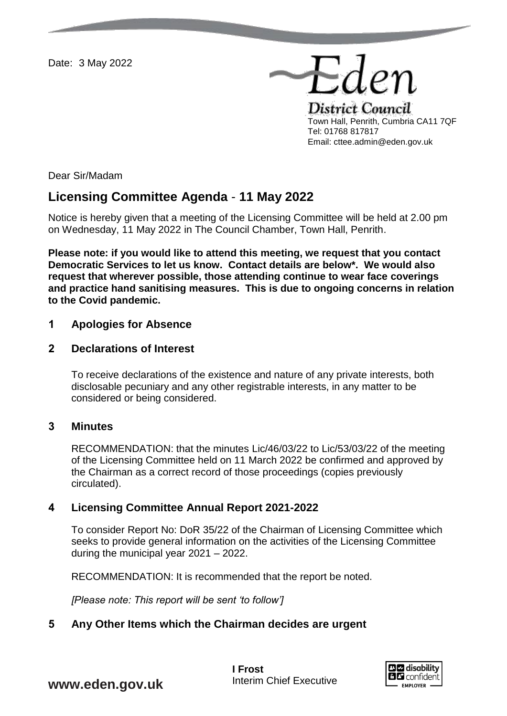Date: 3 May 2022

Eder District Council Town Hall, Penrith, Cumbria CA11 7QF Tel: 01768 817817 Email: cttee.admin@eden.gov.uk

Dear Sir/Madam

# **Licensing Committee Agenda** - **11 May 2022**

Notice is hereby given that a meeting of the Licensing Committee will be held at 2.00 pm on Wednesday, 11 May 2022 in The Council Chamber, Town Hall, Penrith.

**Please note: if you would like to attend this meeting, we request that you contact Democratic Services to let us know. Contact details are below\*. We would also request that wherever possible, those attending continue to wear face coverings and practice hand sanitising measures. This is due to ongoing concerns in relation to the Covid pandemic.** 

### **1 Apologies for Absence**

### **2 Declarations of Interest**

To receive declarations of the existence and nature of any private interests, both disclosable pecuniary and any other registrable interests, in any matter to be considered or being considered.

#### **3 Minutes**

RECOMMENDATION: that the minutes Lic/46/03/22 to Lic/53/03/22 of the meeting of the Licensing Committee held on 11 March 2022 be confirmed and approved by the Chairman as a correct record of those proceedings (copies previously circulated).

### **4 Licensing Committee Annual Report 2021-2022**

To consider Report No: DoR 35/22 of the Chairman of Licensing Committee which seeks to provide general information on the activities of the Licensing Committee during the municipal year 2021 – 2022.

RECOMMENDATION: It is recommended that the report be noted.

*[Please note: This report will be sent 'to follow']*

### **5 Any Other Items which the Chairman decides are urgent**